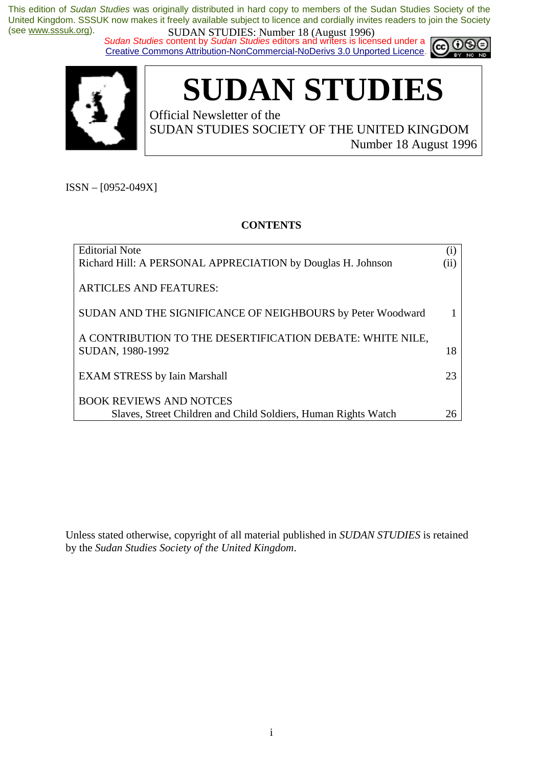*Sudan Studies* content by *Sudan Studies* editors and writers is licensed under a Creative Commons Attribution-NonCommercial-NoDerivs 3.0 Unported Licence.





# **SUDAN STUDIES**

Official Newsletter of the SUDAN STUDIES SOCIETY OF THE UNITED KINGDOM Number 18 August 1996

ISSN – [0952-049X]

#### **CONTENTS**

| <b>Editorial Note</b>                                          | $\left( 1\right)$ |
|----------------------------------------------------------------|-------------------|
| Richard Hill: A PERSONAL APPRECIATION by Douglas H. Johnson    | $\rm (ii)$        |
|                                                                |                   |
| <b>ARTICLES AND FEATURES:</b>                                  |                   |
|                                                                |                   |
| SUDAN AND THE SIGNIFICANCE OF NEIGHBOURS by Peter Woodward     |                   |
|                                                                |                   |
| A CONTRIBUTION TO THE DESERTIFICATION DEBATE: WHITE NILE,      |                   |
| SUDAN, 1980-1992                                               | 18                |
|                                                                |                   |
| <b>EXAM STRESS by Iain Marshall</b>                            | 23                |
|                                                                |                   |
| <b>BOOK REVIEWS AND NOTCES</b>                                 |                   |
| Slaves, Street Children and Child Soldiers, Human Rights Watch | 26                |

Unless stated otherwise, copyright of all material published in *SUDAN STUDIES* is retained by the *Sudan Studies Society of the United Kingdom*.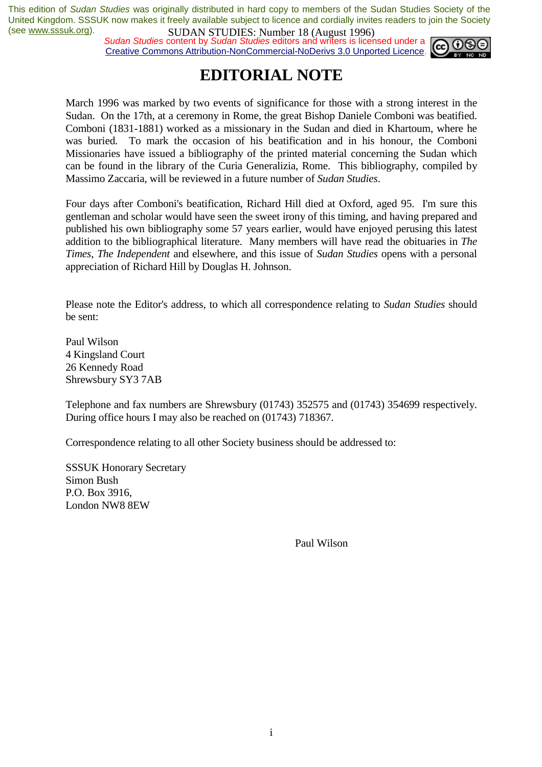*Sudan Studies* content by *Sudan Studies* editors and writers is licensed under a Creative Commons Attribution-NonCommercial-NoDerivs 3.0 Unported Licence.



## **EDITORIAL NOTE**

March 1996 was marked by two events of significance for those with a strong interest in the Sudan. On the 17th, at a ceremony in Rome, the great Bishop Daniele Comboni was beatified. Comboni (1831-1881) worked as a missionary in the Sudan and died in Khartoum, where he was buried. To mark the occasion of his beatification and in his honour, the Comboni Missionaries have issued a bibliography of the printed material concerning the Sudan which can be found in the library of the Curia Generalizia, Rome. This bibliography, compiled by Massimo Zaccaria, will be reviewed in a future number of *Sudan Studies*.

Four days after Comboni's beatification, Richard Hill died at Oxford, aged 95. I'm sure this gentleman and scholar would have seen the sweet irony of this timing, and having prepared and published his own bibliography some 57 years earlier, would have enjoyed perusing this latest addition to the bibliographical literature. Many members will have read the obituaries in *The Times*, *The Independent* and elsewhere, and this issue of *Sudan Studies* opens with a personal appreciation of Richard Hill by Douglas H. Johnson.

Please note the Editor's address, to which all correspondence relating to *Sudan Studies* should be sent:

Paul Wilson 4 Kingsland Court 26 Kennedy Road Shrewsbury SY3 7AB

Telephone and fax numbers are Shrewsbury (01743) 352575 and (01743) 354699 respectively. During office hours I may also be reached on (01743) 718367.

Correspondence relating to all other Society business should be addressed to:

SSSUK Honorary Secretary Simon Bush P.O. Box 3916, London NW8 8EW

Paul Wilson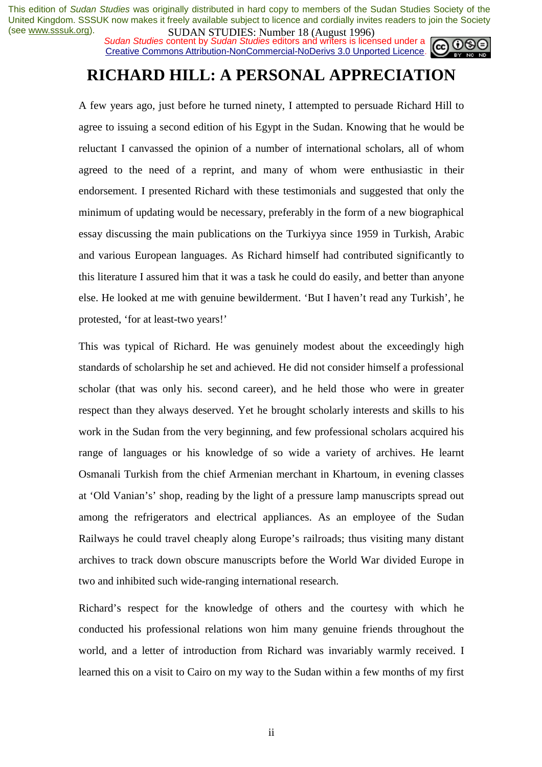**SUDAN STUDIES.** Number 10 (August 1220)<br>Sudan Studies content by Sudan Studies editors and writers is licensed under a Creative Commons Attribution-NonCommercial-NoDerivs 3.0 Unported Licence.



## **RICHARD HILL: A PERSONAL APPRECIATION**

A few years ago, just before he turned ninety, I attempted to persuade Richard Hill to agree to issuing a second edition of his Egypt in the Sudan. Knowing that he would be reluctant I canvassed the opinion of a number of international scholars, all of whom agreed to the need of a reprint, and many of whom were enthusiastic in their endorsement. I presented Richard with these testimonials and suggested that only the minimum of updating would be necessary, preferably in the form of a new biographical essay discussing the main publications on the Turkiyya since 1959 in Turkish, Arabic and various European languages. As Richard himself had contributed significantly to this literature I assured him that it was a task he could do easily, and better than anyone else. He looked at me with genuine bewilderment. 'But I haven't read any Turkish', he protested, 'for at least-two years!'

This was typical of Richard. He was genuinely modest about the exceedingly high standards of scholarship he set and achieved. He did not consider himself a professional scholar (that was only his. second career), and he held those who were in greater respect than they always deserved. Yet he brought scholarly interests and skills to his work in the Sudan from the very beginning, and few professional scholars acquired his range of languages or his knowledge of so wide a variety of archives. He learnt Osmanali Turkish from the chief Armenian merchant in Khartoum, in evening classes at 'Old Vanian's' shop, reading by the light of a pressure lamp manuscripts spread out among the refrigerators and electrical appliances. As an employee of the Sudan Railways he could travel cheaply along Europe's railroads; thus visiting many distant archives to track down obscure manuscripts before the World War divided Europe in two and inhibited such wide-ranging international research.

Richard's respect for the knowledge of others and the courtesy with which he conducted his professional relations won him many genuine friends throughout the world, and a letter of introduction from Richard was invariably warmly received. I learned this on a visit to Cairo on my way to the Sudan within a few months of my first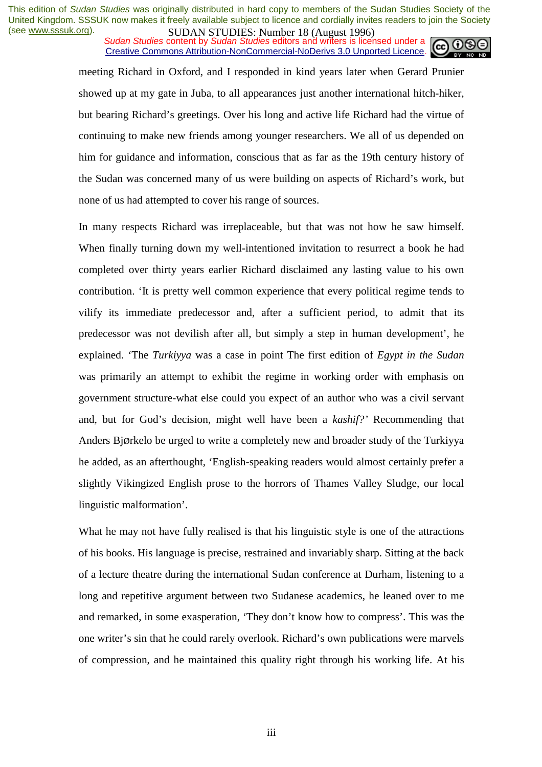**SUDAN STUDES**, **NUTTER 10 (August 1770)**<br>Sudan Studies content by *Sudan Studies* editors and writers is licensed under a Creative Commons Attribution-NonCommercial-NoDerivs 3.0 Unported Licence.



meeting Richard in Oxford, and I responded in kind years later when Gerard Prunier showed up at my gate in Juba, to all appearances just another international hitch-hiker, but bearing Richard's greetings. Over his long and active life Richard had the virtue of continuing to make new friends among younger researchers. We all of us depended on him for guidance and information, conscious that as far as the 19th century history of the Sudan was concerned many of us were building on aspects of Richard's work, but none of us had attempted to cover his range of sources.

In many respects Richard was irreplaceable, but that was not how he saw himself. When finally turning down my well-intentioned invitation to resurrect a book he had completed over thirty years earlier Richard disclaimed any lasting value to his own contribution. 'It is pretty well common experience that every political regime tends to vilify its immediate predecessor and, after a sufficient period, to admit that its predecessor was not devilish after all, but simply a step in human development', he explained. 'The *Turkiyya* was a case in point The first edition of *Egypt in the Sudan*  was primarily an attempt to exhibit the regime in working order with emphasis on government structure-what else could you expect of an author who was a civil servant and, but for God's decision, might well have been a *kashif?'* Recommending that Anders BjØrkelo be urged to write a completely new and broader study of the Turkiyya he added, as an afterthought, 'English-speaking readers would almost certainly prefer a slightly Vikingized English prose to the horrors of Thames Valley Sludge, our local linguistic malformation'.

What he may not have fully realised is that his linguistic style is one of the attractions of his books. His language is precise, restrained and invariably sharp. Sitting at the back of a lecture theatre during the international Sudan conference at Durham, listening to a long and repetitive argument between two Sudanese academics, he leaned over to me and remarked, in some exasperation, 'They don't know how to compress'. This was the one writer's sin that he could rarely overlook. Richard's own publications were marvels of compression, and he maintained this quality right through his working life. At his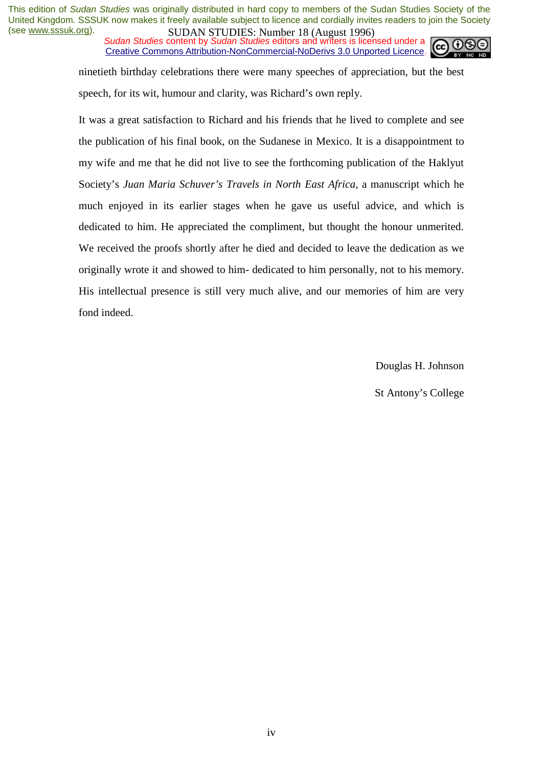**SUDAN STUDES**, **NUTTER 10 (August 1770)**<br>Sudan Studies content by *Sudan Studies* editors and writers is licensed under a Creative Commons Attribution-NonCommercial-NoDerivs 3.0 Unported Licence.



ninetieth birthday celebrations there were many speeches of appreciation, but the best speech, for its wit, humour and clarity, was Richard's own reply.

It was a great satisfaction to Richard and his friends that he lived to complete and see the publication of his final book, on the Sudanese in Mexico. It is a disappointment to my wife and me that he did not live to see the forthcoming publication of the Haklyut Society's *Juan Maria Schuver's Travels in North East Africa,* a manuscript which he much enjoyed in its earlier stages when he gave us useful advice, and which is dedicated to him. He appreciated the compliment, but thought the honour unmerited. We received the proofs shortly after he died and decided to leave the dedication as we originally wrote it and showed to him- dedicated to him personally, not to his memory. His intellectual presence is still very much alive, and our memories of him are very fond indeed.

Douglas H. Johnson

St Antony's College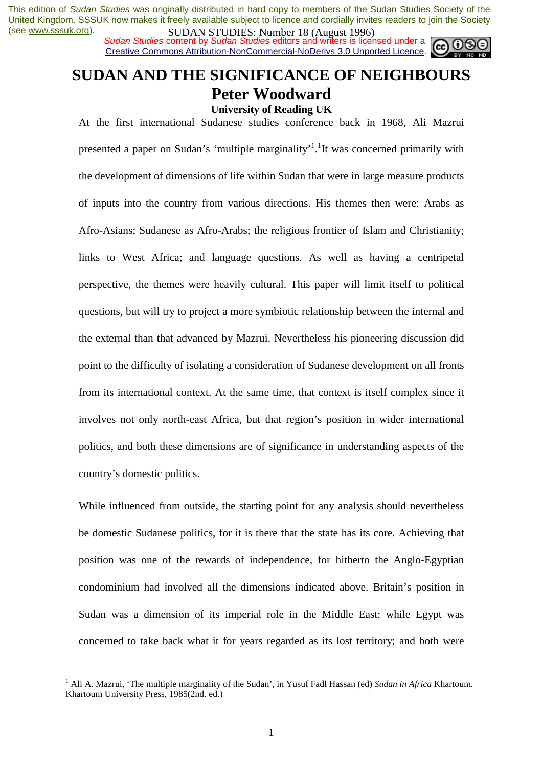**SUDAN STUDIES.** NUTTER 10 (August 1220)<br>Sudan Studies content by Sudan Studies editors and writers is licensed under a Creative Commons Attribution-NonCommercial-NoDerivs 3.0 Unported Licence.



# **SUDAN AND THE SIGNIFICANCE OF NEIGHBOURS Peter Woodward**

**University of Reading UK**  At the first international Sudanese studies conference back in 1968, Ali Mazrui

presented a paper on Sudan's 'multiple marginality'<sup>1</sup>.<sup>1</sup>It was concerned primarily with the development of dimensions of life within Sudan that were in large measure products of inputs into the country from various directions. His themes then were: Arabs as Afro-Asians; Sudanese as Afro-Arabs; the religious frontier of Islam and Christianity; links to West Africa; and language questions. As well as having a centripetal perspective, the themes were heavily cultural. This paper will limit itself to political questions, but will try to project a more symbiotic relationship between the internal and the external than that advanced by Mazrui. Nevertheless his pioneering discussion did point to the difficulty of isolating a consideration of Sudanese development on all fronts from its international context. At the same time, that context is itself complex since it involves not only north-east Africa, but that region's position in wider international politics, and both these dimensions are of significance in understanding aspects of the country's domestic politics.

While influenced from outside, the starting point for any analysis should nevertheless be domestic Sudanese politics, for it is there that the state has its core. Achieving that position was one of the rewards of independence, for hitherto the Anglo-Egyptian condominium had involved all the dimensions indicated above. Britain's position in Sudan was a dimension of its imperial role in the Middle East: while Egypt was concerned to take back what it for years regarded as its lost territory; and both were

 $\overline{a}$ 

<sup>1</sup> Ali A. Mazrui, 'The multiple marginality of the Sudan', in Yusuf Fadl Hassan (ed) *Sudan in Africa* Khartoum. Khartoum University Press, 1985(2nd. ed.)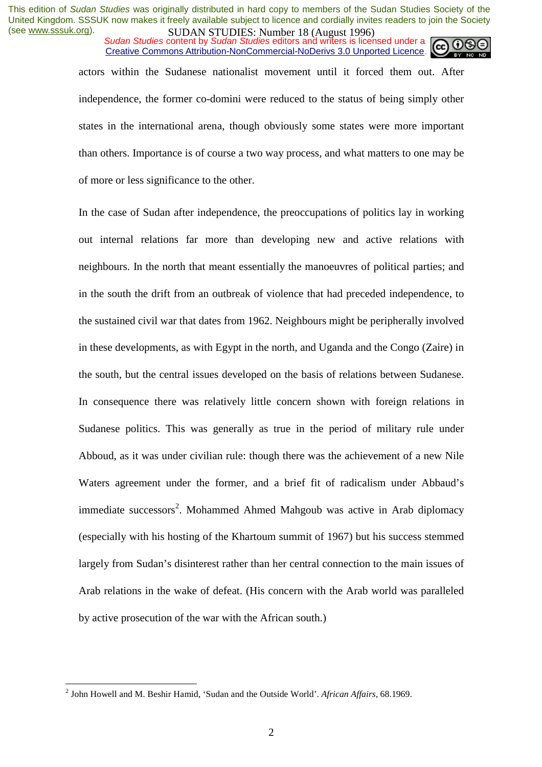*Sudan Studies* content by *Sudan Studies* editors and writers is licensed under a Creative Commons Attribution-NonCommercial-NoDerivs 3.0 Unported Licence.

actors within the Sudanese nationalist movement until it forced them out. After independence, the former co-domini were reduced to the status of being simply other states in the international arena, though obviously some states were more important than others. Importance is of course a two way process, and what matters to one may be of more or less significance to the other.

In the case of Sudan after independence, the preoccupations of politics lay in working out internal relations far more than developing new and active relations with neighbours. In the north that meant essentially the manoeuvres of political parties; and in the south the drift from an outbreak of violence that had preceded independence, to the sustained civil war that dates from 1962. Neighbours might be peripherally involved in these developments, as with Egypt in the north, and Uganda and the Congo (Zaire) in the south, but the central issues developed on the basis of relations between Sudanese. In consequence there was relatively little concern shown with foreign relations in Sudanese politics. This was generally as true in the period of military rule under Abboud, as it was under civilian rule: though there was the achievement of a new Nile Waters agreement under the former, and a brief fit of radicalism under Abbaud's immediate successors<sup>2</sup>. Mohammed Ahmed Mahgoub was active in Arab diplomacy (especially with his hosting of the Khartoum summit of 1967) but his success stemmed largely from Sudan's disinterest rather than her central connection to the main issues of Arab relations in the wake of defeat. (His concern with the Arab world was paralleled by active prosecution of the war with the African south.)

 $\overline{a}$ 

<sup>2</sup> John Howell and M. Beshir Hamid, 'Sudan and the Outside World'. *African Affairs,* 68.1969.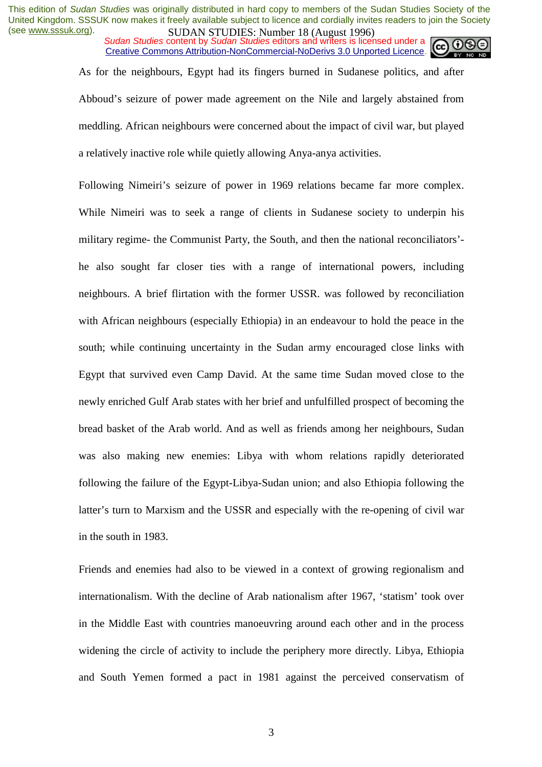*Sudan Studies* content by *Sudan Studies* editors and writers is licensed under a Creative Commons Attribution-NonCommercial-NoDerivs 3.0 Unported Licence.

As for the neighbours, Egypt had its fingers burned in Sudanese politics, and after Abboud's seizure of power made agreement on the Nile and largely abstained from meddling. African neighbours were concerned about the impact of civil war, but played a relatively inactive role while quietly allowing Anya-anya activities.

Following Nimeiri's seizure of power in 1969 relations became far more complex. While Nimeiri was to seek a range of clients in Sudanese society to underpin his military regime- the Communist Party, the South, and then the national reconciliators' he also sought far closer ties with a range of international powers, including neighbours. A brief flirtation with the former USSR. was followed by reconciliation with African neighbours (especially Ethiopia) in an endeavour to hold the peace in the south; while continuing uncertainty in the Sudan army encouraged close links with Egypt that survived even Camp David. At the same time Sudan moved close to the newly enriched Gulf Arab states with her brief and unfulfilled prospect of becoming the bread basket of the Arab world. And as well as friends among her neighbours, Sudan was also making new enemies: Libya with whom relations rapidly deteriorated following the failure of the Egypt-Libya-Sudan union; and also Ethiopia following the latter's turn to Marxism and the USSR and especially with the re-opening of civil war in the south in 1983.

Friends and enemies had also to be viewed in a context of growing regionalism and internationalism. With the decline of Arab nationalism after 1967, 'statism' took over in the Middle East with countries manoeuvring around each other and in the process widening the circle of activity to include the periphery more directly. Libya, Ethiopia and South Yemen formed a pact in 1981 against the perceived conservatism of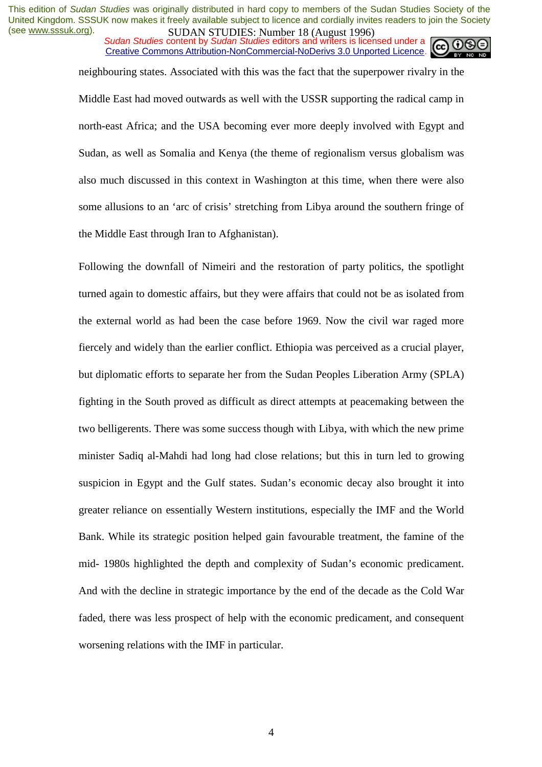**SUDAN STUDES**, **NUTTER 10 (August 1770)**<br>Sudan Studies content by *Sudan Studies* editors and writers is licensed under a Creative Commons Attribution-NonCommercial-NoDerivs 3.0 Unported Licence.

neighbouring states. Associated with this was the fact that the superpower rivalry in the Middle East had moved outwards as well with the USSR supporting the radical camp in north-east Africa; and the USA becoming ever more deeply involved with Egypt and Sudan, as well as Somalia and Kenya (the theme of regionalism versus globalism was also much discussed in this context in Washington at this time, when there were also some allusions to an 'arc of crisis' stretching from Libya around the southern fringe of the Middle East through Iran to Afghanistan).

Following the downfall of Nimeiri and the restoration of party politics, the spotlight turned again to domestic affairs, but they were affairs that could not be as isolated from the external world as had been the case before 1969. Now the civil war raged more fiercely and widely than the earlier conflict. Ethiopia was perceived as a crucial player, but diplomatic efforts to separate her from the Sudan Peoples Liberation Army (SPLA) fighting in the South proved as difficult as direct attempts at peacemaking between the two belligerents. There was some success though with Libya, with which the new prime minister Sadiq al-Mahdi had long had close relations; but this in turn led to growing suspicion in Egypt and the Gulf states. Sudan's economic decay also brought it into greater reliance on essentially Western institutions, especially the IMF and the World Bank. While its strategic position helped gain favourable treatment, the famine of the mid- 1980s highlighted the depth and complexity of Sudan's economic predicament. And with the decline in strategic importance by the end of the decade as the Cold War faded, there was less prospect of help with the economic predicament, and consequent worsening relations with the IMF in particular.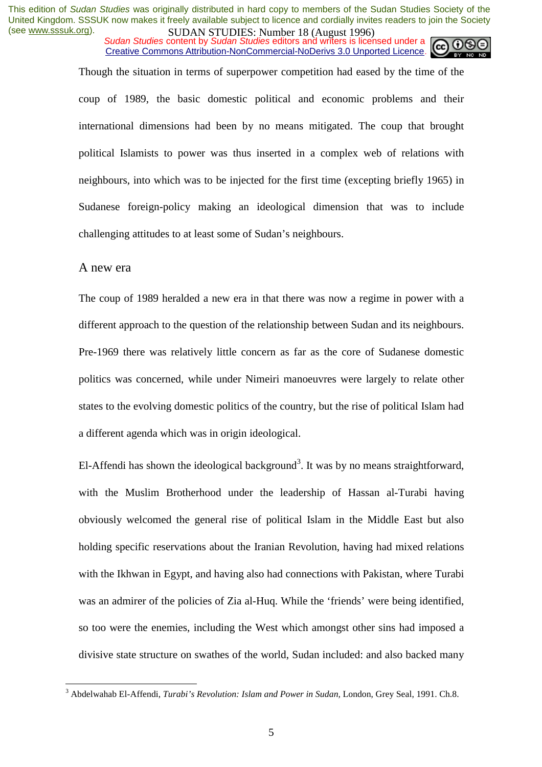*Sudan Studies* content by *Sudan Studies* editors and writers is licensed under a Creative Commons Attribution-NonCommercial-NoDerivs 3.0 Unported Licence.

Though the situation in terms of superpower competition had eased by the time of the coup of 1989, the basic domestic political and economic problems and their international dimensions had been by no means mitigated. The coup that brought political Islamists to power was thus inserted in a complex web of relations with neighbours, into which was to be injected for the first time (excepting briefly 1965) in Sudanese foreign-policy making an ideological dimension that was to include challenging attitudes to at least some of Sudan's neighbours.

#### A new era

 $\overline{a}$ 

The coup of 1989 heralded a new era in that there was now a regime in power with a different approach to the question of the relationship between Sudan and its neighbours. Pre-1969 there was relatively little concern as far as the core of Sudanese domestic politics was concerned, while under Nimeiri manoeuvres were largely to relate other states to the evolving domestic politics of the country, but the rise of political Islam had a different agenda which was in origin ideological.

El-Affendi has shown the ideological background<sup>3</sup>. It was by no means straightforward, with the Muslim Brotherhood under the leadership of Hassan al-Turabi having obviously welcomed the general rise of political Islam in the Middle East but also holding specific reservations about the Iranian Revolution, having had mixed relations with the Ikhwan in Egypt, and having also had connections with Pakistan, where Turabi was an admirer of the policies of Zia al-Huq. While the 'friends' were being identified, so too were the enemies, including the West which amongst other sins had imposed a divisive state structure on swathes of the world, Sudan included: and also backed many

<sup>&</sup>lt;sup>3</sup> Abdelwahab El-Affendi, *Turabi's Revolution: Islam and Power in Sudan*, London, Grey Seal, 1991. Ch.8.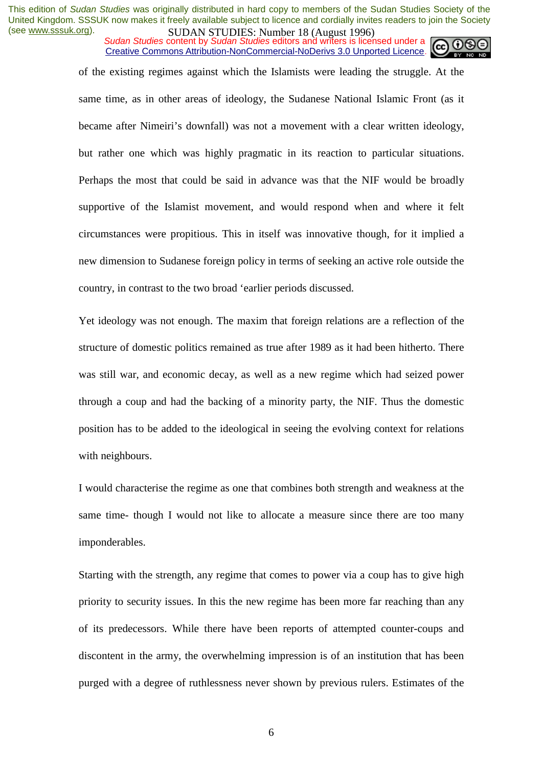*Sudan Studies* content by *Sudan Studies* editors and writers is licensed under a Creative Commons Attribution-NonCommercial-NoDerivs 3.0 Unported Licence.



of the existing regimes against which the Islamists were leading the struggle. At the same time, as in other areas of ideology, the Sudanese National Islamic Front (as it became after Nimeiri's downfall) was not a movement with a clear written ideology, but rather one which was highly pragmatic in its reaction to particular situations. Perhaps the most that could be said in advance was that the NIF would be broadly supportive of the Islamist movement, and would respond when and where it felt circumstances were propitious. This in itself was innovative though, for it implied a new dimension to Sudanese foreign policy in terms of seeking an active role outside the country, in contrast to the two broad 'earlier periods discussed.

Yet ideology was not enough. The maxim that foreign relations are a reflection of the structure of domestic politics remained as true after 1989 as it had been hitherto. There was still war, and economic decay, as well as a new regime which had seized power through a coup and had the backing of a minority party, the NIF. Thus the domestic position has to be added to the ideological in seeing the evolving context for relations with neighbours.

I would characterise the regime as one that combines both strength and weakness at the same time- though I would not like to allocate a measure since there are too many imponderables.

Starting with the strength, any regime that comes to power via a coup has to give high priority to security issues. In this the new regime has been more far reaching than any of its predecessors. While there have been reports of attempted counter-coups and discontent in the army, the overwhelming impression is of an institution that has been purged with a degree of ruthlessness never shown by previous rulers. Estimates of the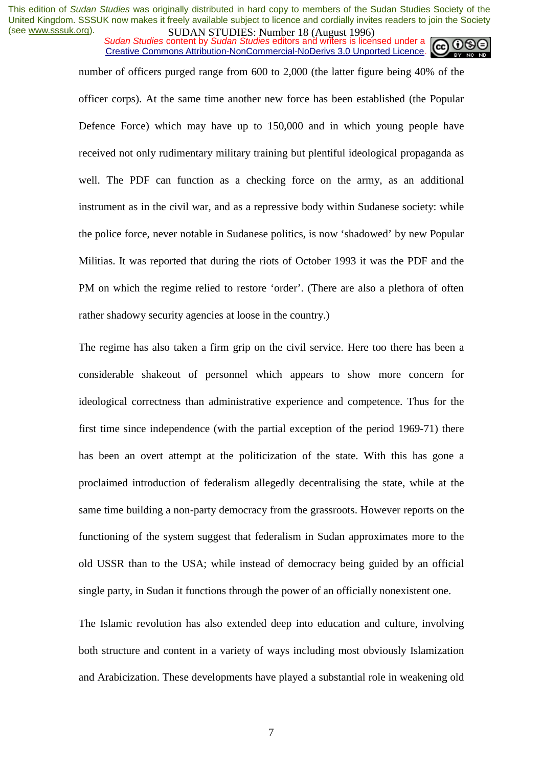**SUDAN STUDES**, **NUTTER 10 (August 1770)**<br>Sudan Studies content by *Sudan Studies* editors and writers is licensed under a Creative Commons Attribution-NonCommercial-NoDerivs 3.0 Unported Licence.

number of officers purged range from 600 to 2,000 (the latter figure being 40% of the officer corps). At the same time another new force has been established (the Popular Defence Force) which may have up to 150,000 and in which young people have received not only rudimentary military training but plentiful ideological propaganda as well. The PDF can function as a checking force on the army, as an additional instrument as in the civil war, and as a repressive body within Sudanese society: while the police force, never notable in Sudanese politics, is now 'shadowed' by new Popular Militias. It was reported that during the riots of October 1993 it was the PDF and the PM on which the regime relied to restore 'order'. (There are also a plethora of often rather shadowy security agencies at loose in the country.)

The regime has also taken a firm grip on the civil service. Here too there has been a considerable shakeout of personnel which appears to show more concern for ideological correctness than administrative experience and competence. Thus for the first time since independence (with the partial exception of the period 1969-71) there has been an overt attempt at the politicization of the state. With this has gone a proclaimed introduction of federalism allegedly decentralising the state, while at the same time building a non-party democracy from the grassroots. However reports on the functioning of the system suggest that federalism in Sudan approximates more to the old USSR than to the USA; while instead of democracy being guided by an official single party, in Sudan it functions through the power of an officially nonexistent one.

The Islamic revolution has also extended deep into education and culture, involving both structure and content in a variety of ways including most obviously Islamization and Arabicization. These developments have played a substantial role in weakening old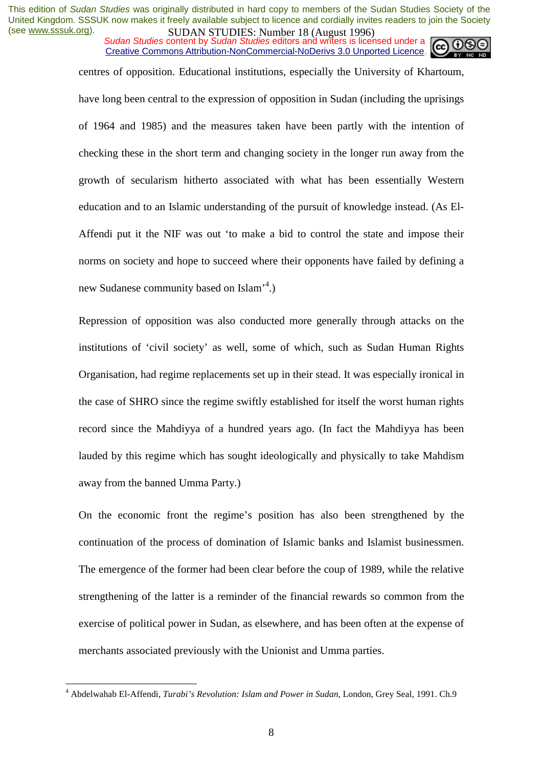*Sudan Studies* content by *Sudan Studies* editors and writers is licensed under a Creative Commons Attribution-NonCommercial-NoDerivs 3.0 Unported Licence.



centres of opposition. Educational institutions, especially the University of Khartoum,

have long been central to the expression of opposition in Sudan (including the uprisings of 1964 and 1985) and the measures taken have been partly with the intention of checking these in the short term and changing society in the longer run away from the growth of secularism hitherto associated with what has been essentially Western education and to an Islamic understanding of the pursuit of knowledge instead. (As El-Affendi put it the NIF was out 'to make a bid to control the state and impose their norms on society and hope to succeed where their opponents have failed by defining a new Sudanese community based on Islam<sup>'4</sup>.)

Repression of opposition was also conducted more generally through attacks on the institutions of 'civil society' as well, some of which, such as Sudan Human Rights Organisation, had regime replacements set up in their stead. It was especially ironical in the case of SHRO since the regime swiftly established for itself the worst human rights record since the Mahdiyya of a hundred years ago. (In fact the Mahdiyya has been lauded by this regime which has sought ideologically and physically to take Mahdism away from the banned Umma Party.)

On the economic front the regime's position has also been strengthened by the continuation of the process of domination of Islamic banks and Islamist businessmen. The emergence of the former had been clear before the coup of 1989, while the relative strengthening of the latter is a reminder of the financial rewards so common from the exercise of political power in Sudan, as elsewhere, and has been often at the expense of merchants associated previously with the Unionist and Umma parties.

 $\overline{a}$ 

<sup>&</sup>lt;sup>4</sup> Abdelwahab El-Affendi, *Turabi's Revolution: Islam and Power in Sudan*, London, Grey Seal, 1991. Ch.9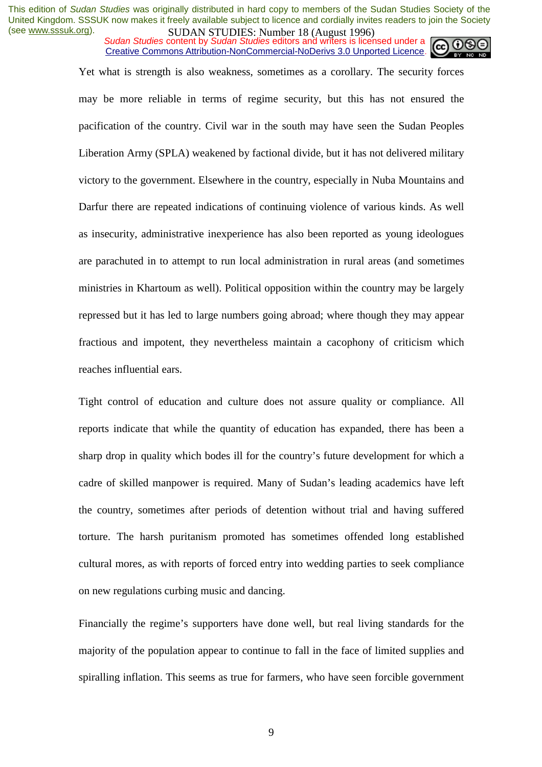**SUDAN STUDES**, **NUTTER 10 (August 1770)**<br>Sudan Studies content by *Sudan Studies* editors and writers is licensed under a Creative Commons Attribution-NonCommercial-NoDerivs 3.0 Unported Licence.



Yet what is strength is also weakness, sometimes as a corollary. The security forces may be more reliable in terms of regime security, but this has not ensured the pacification of the country. Civil war in the south may have seen the Sudan Peoples Liberation Army (SPLA) weakened by factional divide, but it has not delivered military victory to the government. Elsewhere in the country, especially in Nuba Mountains and Darfur there are repeated indications of continuing violence of various kinds. As well as insecurity, administrative inexperience has also been reported as young ideologues are parachuted in to attempt to run local administration in rural areas (and sometimes ministries in Khartoum as well). Political opposition within the country may be largely repressed but it has led to large numbers going abroad; where though they may appear fractious and impotent, they nevertheless maintain a cacophony of criticism which reaches influential ears.

Tight control of education and culture does not assure quality or compliance. All reports indicate that while the quantity of education has expanded, there has been a sharp drop in quality which bodes ill for the country's future development for which a cadre of skilled manpower is required. Many of Sudan's leading academics have left the country, sometimes after periods of detention without trial and having suffered torture. The harsh puritanism promoted has sometimes offended long established cultural mores, as with reports of forced entry into wedding parties to seek compliance on new regulations curbing music and dancing.

Financially the regime's supporters have done well, but real living standards for the majority of the population appear to continue to fall in the face of limited supplies and spiralling inflation. This seems as true for farmers, who have seen forcible government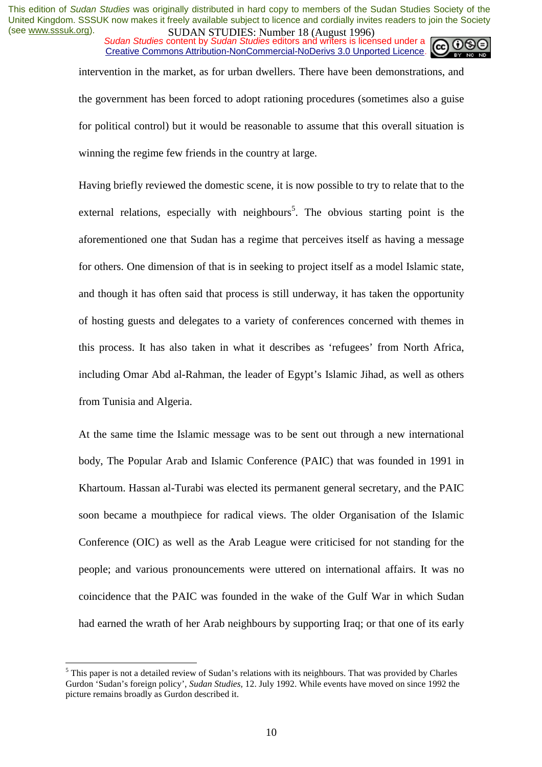*Sudan Studies* content by *Sudan Studies* editors and writers is licensed under a Creative Commons Attribution-NonCommercial-NoDerivs 3.0 Unported Licence.

intervention in the market, as for urban dwellers. There have been demonstrations, and the government has been forced to adopt rationing procedures (sometimes also a guise for political control) but it would be reasonable to assume that this overall situation is winning the regime few friends in the country at large.

Having briefly reviewed the domestic scene, it is now possible to try to relate that to the external relations, especially with neighbours<sup>5</sup>. The obvious starting point is the aforementioned one that Sudan has a regime that perceives itself as having a message for others. One dimension of that is in seeking to project itself as a model Islamic state, and though it has often said that process is still underway, it has taken the opportunity of hosting guests and delegates to a variety of conferences concerned with themes in this process. It has also taken in what it describes as 'refugees' from North Africa, including Omar Abd al-Rahman, the leader of Egypt's Islamic Jihad, as well as others from Tunisia and Algeria.

At the same time the Islamic message was to be sent out through a new international body, The Popular Arab and Islamic Conference (PAIC) that was founded in 1991 in Khartoum. Hassan al-Turabi was elected its permanent general secretary, and the PAIC soon became a mouthpiece for radical views. The older Organisation of the Islamic Conference (OIC) as well as the Arab League were criticised for not standing for the people; and various pronouncements were uttered on international affairs. It was no coincidence that the PAIC was founded in the wake of the Gulf War in which Sudan had earned the wrath of her Arab neighbours by supporting Iraq; or that one of its early

 $\overline{a}$ 

 $<sup>5</sup>$  This paper is not a detailed review of Sudan's relations with its neighbours. That was provided by Charles</sup> Gurdon 'Sudan's foreign policy', *Sudan Studies,* 12. July 1992. While events have moved on since 1992 the picture remains broadly as Gurdon described it.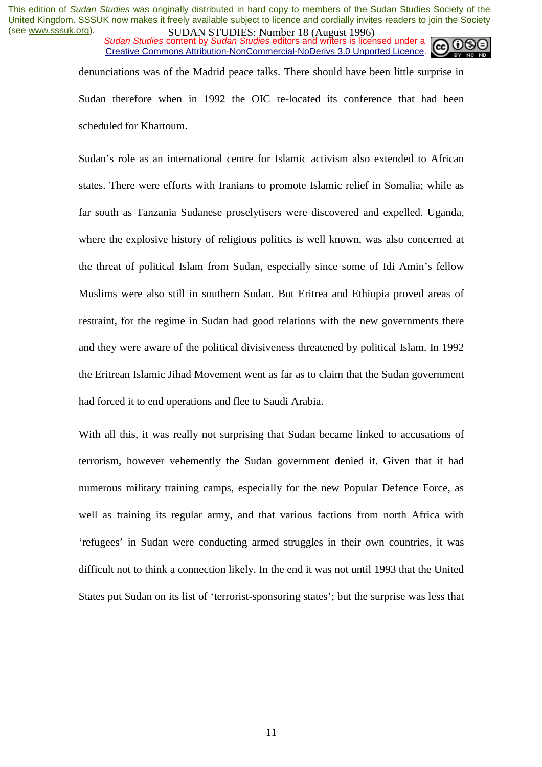*Sudan Studies* content by *Sudan Studies* editors and writers is licensed under a Creative Commons Attribution-NonCommercial-NoDerivs 3.0 Unported Licence.



denunciations was of the Madrid peace talks. There should have been little surprise in Sudan therefore when in 1992 the OIC re-located its conference that had been scheduled for Khartoum.

Sudan's role as an international centre for Islamic activism also extended to African states. There were efforts with Iranians to promote Islamic relief in Somalia; while as far south as Tanzania Sudanese proselytisers were discovered and expelled. Uganda, where the explosive history of religious politics is well known, was also concerned at the threat of political Islam from Sudan, especially since some of Idi Amin's fellow Muslims were also still in southern Sudan. But Eritrea and Ethiopia proved areas of restraint, for the regime in Sudan had good relations with the new governments there and they were aware of the political divisiveness threatened by political Islam. In 1992 the Eritrean Islamic Jihad Movement went as far as to claim that the Sudan government had forced it to end operations and flee to Saudi Arabia.

With all this, it was really not surprising that Sudan became linked to accusations of terrorism, however vehemently the Sudan government denied it. Given that it had numerous military training camps, especially for the new Popular Defence Force, as well as training its regular army, and that various factions from north Africa with 'refugees' in Sudan were conducting armed struggles in their own countries, it was difficult not to think a connection likely. In the end it was not until 1993 that the United States put Sudan on its list of 'terrorist-sponsoring states'; but the surprise was less that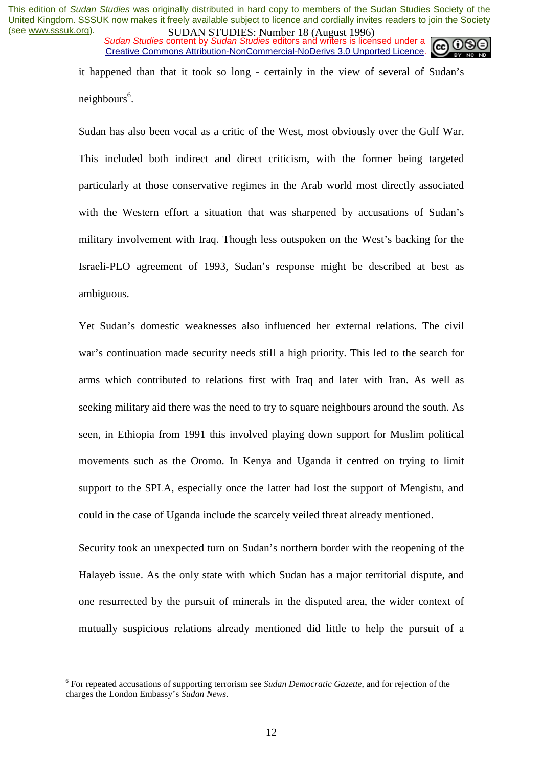*Sudan Studies* content by *Sudan Studies* editors and writers is licensed under a Creative Commons Attribution-NonCommercial-NoDerivs 3.0 Unported Licence.



it happened than that it took so long - certainly in the view of several of Sudan's neighbours<sup>6</sup>.

Sudan has also been vocal as a critic of the West, most obviously over the Gulf War. This included both indirect and direct criticism, with the former being targeted particularly at those conservative regimes in the Arab world most directly associated with the Western effort a situation that was sharpened by accusations of Sudan's military involvement with Iraq. Though less outspoken on the West's backing for the Israeli-PLO agreement of 1993, Sudan's response might be described at best as ambiguous.

Yet Sudan's domestic weaknesses also influenced her external relations. The civil war's continuation made security needs still a high priority. This led to the search for arms which contributed to relations first with Iraq and later with Iran. As well as seeking military aid there was the need to try to square neighbours around the south. As seen, in Ethiopia from 1991 this involved playing down support for Muslim political movements such as the Oromo. In Kenya and Uganda it centred on trying to limit support to the SPLA, especially once the latter had lost the support of Mengistu, and could in the case of Uganda include the scarcely veiled threat already mentioned.

Security took an unexpected turn on Sudan's northern border with the reopening of the Halayeb issue. As the only state with which Sudan has a major territorial dispute, and one resurrected by the pursuit of minerals in the disputed area, the wider context of mutually suspicious relations already mentioned did little to help the pursuit of a

 $\overline{a}$ 

<sup>6</sup> For repeated accusations of supporting terrorism see *Sudan Democratic Gazette,* and for rejection of the charges the London Embassy's *Sudan News.*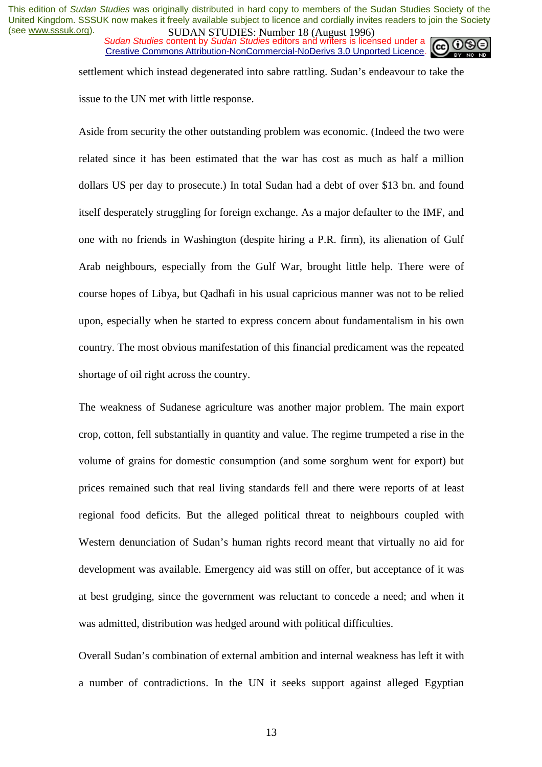**Sudan Studies content by Sudan Studies editors and writers is licensed under a** Creative Commons Attribution-NonCommercial-NoDerivs 3.0 Unported Licence.



settlement which instead degenerated into sabre rattling. Sudan's endeavour to take the issue to the UN met with little response.

Aside from security the other outstanding problem was economic. (Indeed the two were related since it has been estimated that the war has cost as much as half a million dollars US per day to prosecute.) In total Sudan had a debt of over \$13 bn. and found itself desperately struggling for foreign exchange. As a major defaulter to the IMF, and one with no friends in Washington (despite hiring a P.R. firm), its alienation of Gulf Arab neighbours, especially from the Gulf War, brought little help. There were of course hopes of Libya, but Qadhafi in his usual capricious manner was not to be relied upon, especially when he started to express concern about fundamentalism in his own country. The most obvious manifestation of this financial predicament was the repeated shortage of oil right across the country.

The weakness of Sudanese agriculture was another major problem. The main export crop, cotton, fell substantially in quantity and value. The regime trumpeted a rise in the volume of grains for domestic consumption (and some sorghum went for export) but prices remained such that real living standards fell and there were reports of at least regional food deficits. But the alleged political threat to neighbours coupled with Western denunciation of Sudan's human rights record meant that virtually no aid for development was available. Emergency aid was still on offer, but acceptance of it was at best grudging, since the government was reluctant to concede a need; and when it was admitted, distribution was hedged around with political difficulties.

Overall Sudan's combination of external ambition and internal weakness has left it with a number of contradictions. In the UN it seeks support against alleged Egyptian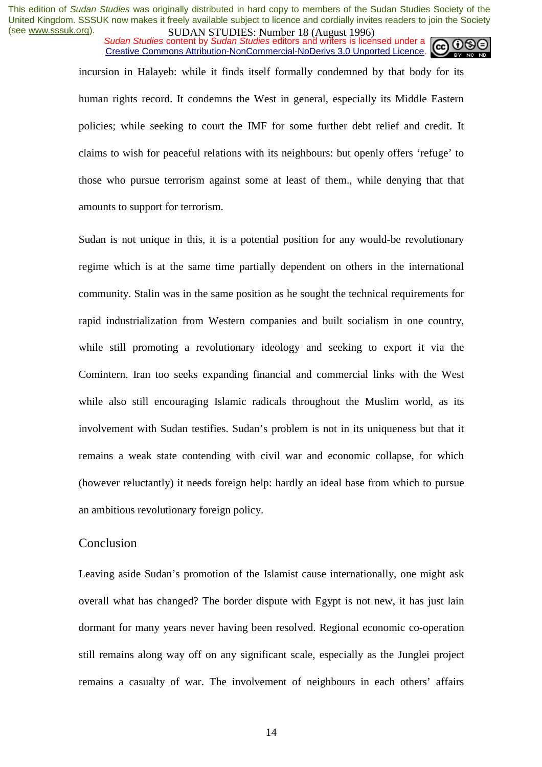*Sudan Studies* content by *Sudan Studies* editors and writers is licensed under a Creative Commons Attribution-NonCommercial-NoDerivs 3.0 Unported Licence.



incursion in Halayeb: while it finds itself formally condemned by that body for its human rights record. It condemns the West in general, especially its Middle Eastern policies; while seeking to court the IMF for some further debt relief and credit. It claims to wish for peaceful relations with its neighbours: but openly offers 'refuge' to those who pursue terrorism against some at least of them., while denying that that amounts to support for terrorism.

Sudan is not unique in this, it is a potential position for any would-be revolutionary regime which is at the same time partially dependent on others in the international community. Stalin was in the same position as he sought the technical requirements for rapid industrialization from Western companies and built socialism in one country, while still promoting a revolutionary ideology and seeking to export it via the Comintern. Iran too seeks expanding financial and commercial links with the West while also still encouraging Islamic radicals throughout the Muslim world, as its involvement with Sudan testifies. Sudan's problem is not in its uniqueness but that it remains a weak state contending with civil war and economic collapse, for which (however reluctantly) it needs foreign help: hardly an ideal base from which to pursue an ambitious revolutionary foreign policy.

#### Conclusion

Leaving aside Sudan's promotion of the Islamist cause internationally, one might ask overall what has changed? The border dispute with Egypt is not new, it has just lain dormant for many years never having been resolved. Regional economic co-operation still remains along way off on any significant scale, especially as the Junglei project remains a casualty of war. The involvement of neighbours in each others' affairs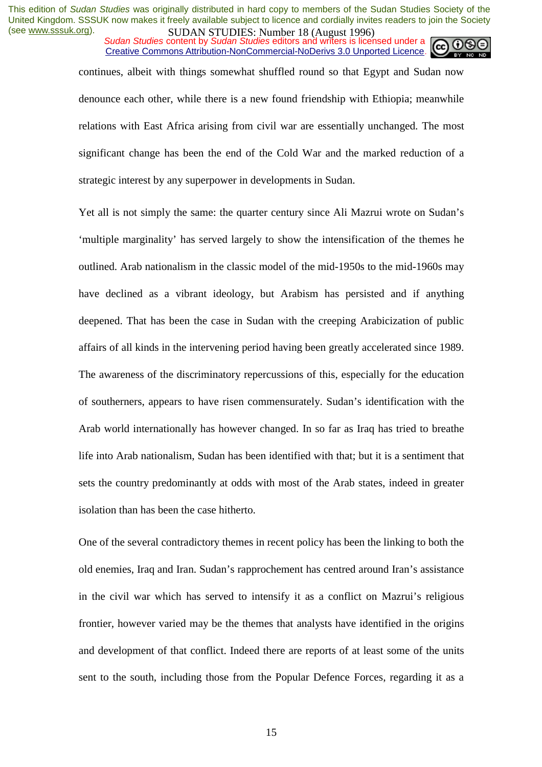*Sudan Studies* content by *Sudan Studies* editors and writers is licensed under a Creative Commons Attribution-NonCommercial-NoDerivs 3.0 Unported Licence.

continues, albeit with things somewhat shuffled round so that Egypt and Sudan now denounce each other, while there is a new found friendship with Ethiopia; meanwhile relations with East Africa arising from civil war are essentially unchanged. The most significant change has been the end of the Cold War and the marked reduction of a strategic interest by any superpower in developments in Sudan.

Yet all is not simply the same: the quarter century since Ali Mazrui wrote on Sudan's 'multiple marginality' has served largely to show the intensification of the themes he outlined. Arab nationalism in the classic model of the mid-1950s to the mid-1960s may have declined as a vibrant ideology, but Arabism has persisted and if anything deepened. That has been the case in Sudan with the creeping Arabicization of public affairs of all kinds in the intervening period having been greatly accelerated since 1989. The awareness of the discriminatory repercussions of this, especially for the education of southerners, appears to have risen commensurately. Sudan's identification with the Arab world internationally has however changed. In so far as Iraq has tried to breathe life into Arab nationalism, Sudan has been identified with that; but it is a sentiment that sets the country predominantly at odds with most of the Arab states, indeed in greater isolation than has been the case hitherto.

One of the several contradictory themes in recent policy has been the linking to both the old enemies, Iraq and Iran. Sudan's rapprochement has centred around Iran's assistance in the civil war which has served to intensify it as a conflict on Mazrui's religious frontier, however varied may be the themes that analysts have identified in the origins and development of that conflict. Indeed there are reports of at least some of the units sent to the south, including those from the Popular Defence Forces, regarding it as a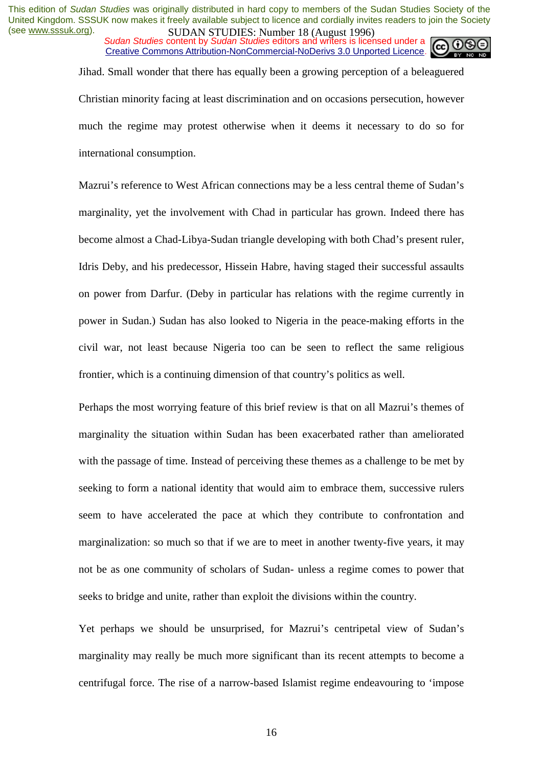*Sudan Studies* content by *Sudan Studies* editors and writers is licensed under a Creative Commons Attribution-NonCommercial-NoDerivs 3.0 Unported Licence.



Jihad. Small wonder that there has equally been a growing perception of a beleaguered Christian minority facing at least discrimination and on occasions persecution, however much the regime may protest otherwise when it deems it necessary to do so for international consumption.

Mazrui's reference to West African connections may be a less central theme of Sudan's marginality, yet the involvement with Chad in particular has grown. Indeed there has become almost a Chad-Libya-Sudan triangle developing with both Chad's present ruler, Idris Deby, and his predecessor, Hissein Habre, having staged their successful assaults on power from Darfur. (Deby in particular has relations with the regime currently in power in Sudan.) Sudan has also looked to Nigeria in the peace-making efforts in the civil war, not least because Nigeria too can be seen to reflect the same religious frontier, which is a continuing dimension of that country's politics as well.

Perhaps the most worrying feature of this brief review is that on all Mazrui's themes of marginality the situation within Sudan has been exacerbated rather than ameliorated with the passage of time. Instead of perceiving these themes as a challenge to be met by seeking to form a national identity that would aim to embrace them, successive rulers seem to have accelerated the pace at which they contribute to confrontation and marginalization: so much so that if we are to meet in another twenty-five years, it may not be as one community of scholars of Sudan- unless a regime comes to power that seeks to bridge and unite, rather than exploit the divisions within the country.

Yet perhaps we should be unsurprised, for Mazrui's centripetal view of Sudan's marginality may really be much more significant than its recent attempts to become a centrifugal force. The rise of a narrow-based Islamist regime endeavouring to 'impose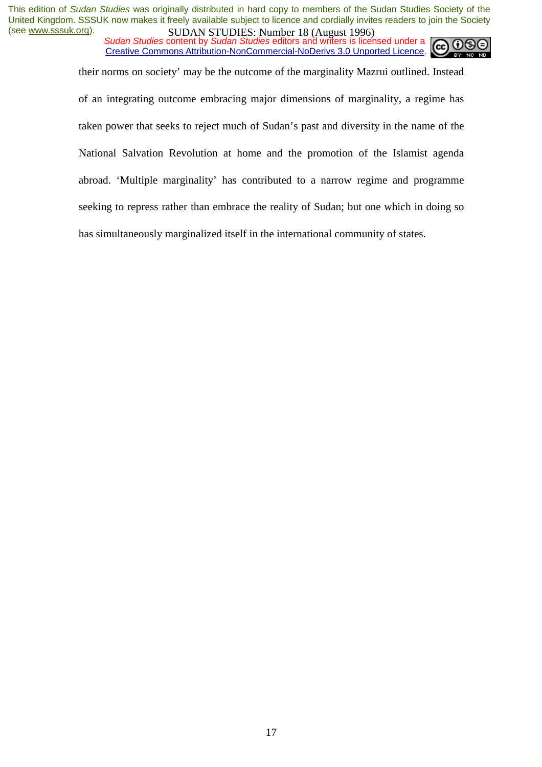*Sudan Studies* content by *Sudan Studies* editors and writers is licensed under a Creative Commons Attribution-NonCommercial-NoDerivs 3.0 Unported Licence.



their norms on society' may be the outcome of the marginality Mazrui outlined. Instead

of an integrating outcome embracing major dimensions of marginality, a regime has taken power that seeks to reject much of Sudan's past and diversity in the name of the National Salvation Revolution at home and the promotion of the Islamist agenda abroad. 'Multiple marginality' has contributed to a narrow regime and programme seeking to repress rather than embrace the reality of Sudan; but one which in doing so has simultaneously marginalized itself in the international community of states.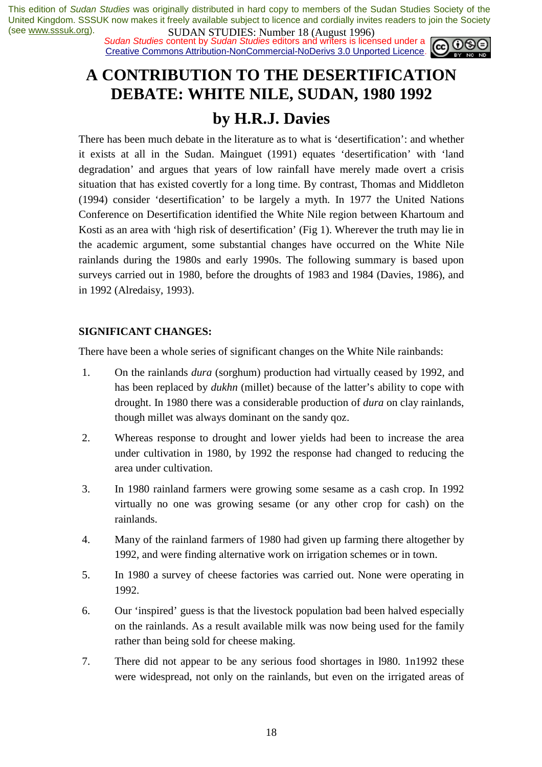*Sudan Studies* content by *Sudan Studies* editors and writers is licensed under a Creative Commons Attribution-NonCommercial-NoDerivs 3.0 Unported Licence.



# **A CONTRIBUTION TO THE DESERTIFICATION DEBATE: WHITE NILE, SUDAN, 1980 1992 by H.R.J. Davies**

There has been much debate in the literature as to what is 'desertification': and whether it exists at all in the Sudan. Mainguet (1991) equates 'desertification' with 'land degradation' and argues that years of low rainfall have merely made overt a crisis situation that has existed covertly for a long time. By contrast, Thomas and Middleton (1994) consider 'desertification' to be largely a myth. In 1977 the United Nations Conference on Desertification identified the White Nile region between Khartoum and Kosti as an area with 'high risk of desertification' (Fig 1). Wherever the truth may lie in the academic argument, some substantial changes have occurred on the White Nile rainlands during the 1980s and early 1990s. The following summary is based upon surveys carried out in 1980, before the droughts of 1983 and 1984 (Davies, 1986), and in 1992 (Alredaisy, 1993).

#### **SIGNIFICANT CHANGES:**

There have been a whole series of significant changes on the White Nile rainbands:

- 1. On the rainlands *dura* (sorghum) production had virtually ceased by 1992, and has been replaced by *dukhn* (millet) because of the latter's ability to cope with drought. In 1980 there was a considerable production of *dura* on clay rainlands, though millet was always dominant on the sandy qoz.
- 2. Whereas response to drought and lower yields had been to increase the area under cultivation in 1980, by 1992 the response had changed to reducing the area under cultivation.
- 3. In 1980 rainland farmers were growing some sesame as a cash crop. In 1992 virtually no one was growing sesame (or any other crop for cash) on the rainlands.
- 4. Many of the rainland farmers of 1980 had given up farming there altogether by 1992, and were finding alternative work on irrigation schemes or in town.
- 5. In 1980 a survey of cheese factories was carried out. None were operating in 1992.
- 6. Our 'inspired' guess is that the livestock population bad been halved especially on the rainlands. As a result available milk was now being used for the family rather than being sold for cheese making.
- 7. There did not appear to be any serious food shortages in l980. 1n1992 these were widespread, not only on the rainlands, but even on the irrigated areas of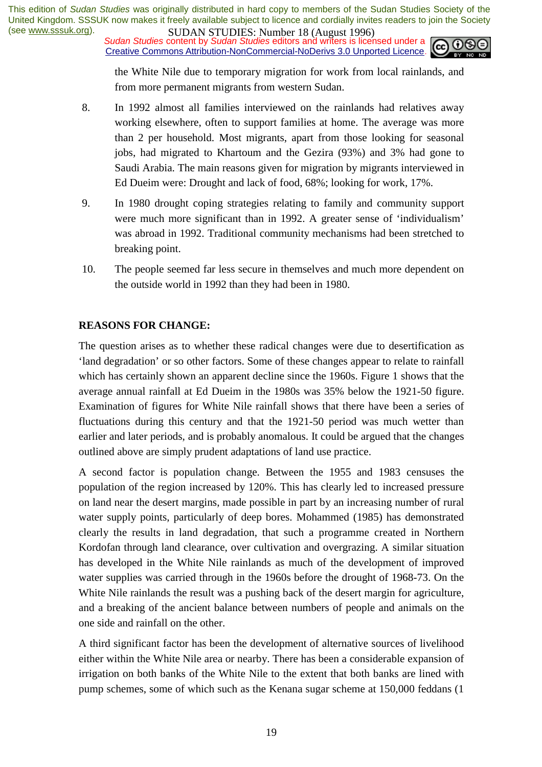*Sudan Studies* content by *Sudan Studies* editors and writers is licensed under a Creative Commons Attribution-NonCommercial-NoDerivs 3.0 Unported Licence.



the White Nile due to temporary migration for work from local rainlands, and from more permanent migrants from western Sudan.

- 8. In 1992 almost all families interviewed on the rainlands had relatives away working elsewhere, often to support families at home. The average was more than 2 per household. Most migrants, apart from those looking for seasonal jobs, had migrated to Khartoum and the Gezira (93%) and 3% had gone to Saudi Arabia. The main reasons given for migration by migrants interviewed in Ed Dueim were: Drought and lack of food, 68%; looking for work, 17%.
- 9. In 1980 drought coping strategies relating to family and community support were much more significant than in 1992. A greater sense of 'individualism' was abroad in 1992. Traditional community mechanisms had been stretched to breaking point.
- 10. The people seemed far less secure in themselves and much more dependent on the outside world in 1992 than they had been in 1980.

#### **REASONS FOR CHANGE:**

The question arises as to whether these radical changes were due to desertification as 'land degradation' or so other factors. Some of these changes appear to relate to rainfall which has certainly shown an apparent decline since the 1960s. Figure 1 shows that the average annual rainfall at Ed Dueim in the 1980s was 35% below the 1921-50 figure. Examination of figures for White Nile rainfall shows that there have been a series of fluctuations during this century and that the 1921-50 period was much wetter than earlier and later periods, and is probably anomalous. It could be argued that the changes outlined above are simply prudent adaptations of land use practice.

A second factor is population change. Between the 1955 and 1983 censuses the population of the region increased by 120%. This has clearly led to increased pressure on land near the desert margins, made possible in part by an increasing number of rural water supply points, particularly of deep bores. Mohammed (1985) has demonstrated clearly the results in land degradation, that such a programme created in Northern Kordofan through land clearance, over cultivation and overgrazing. A similar situation has developed in the White Nile rainlands as much of the development of improved water supplies was carried through in the 1960s before the drought of 1968-73. On the White Nile rainlands the result was a pushing back of the desert margin for agriculture, and a breaking of the ancient balance between numbers of people and animals on the one side and rainfall on the other.

A third significant factor has been the development of alternative sources of livelihood either within the White Nile area or nearby. There has been a considerable expansion of irrigation on both banks of the White Nile to the extent that both banks are lined with pump schemes, some of which such as the Kenana sugar scheme at 150,000 feddans (1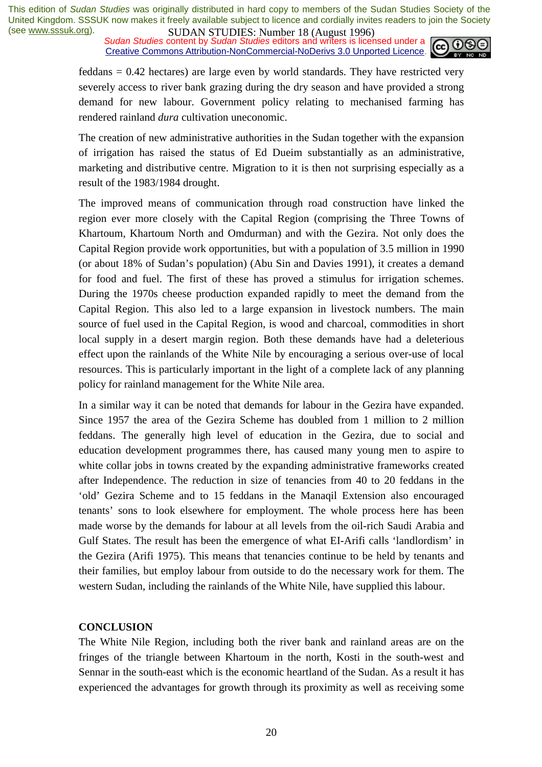**SUDAN STUDIES:** NUTTUBLE 10 (August 1770)<br>Sudan Studies content by *Sudan Studies* editors and writers is licensed under a Creative Commons Attribution-NonCommercial-NoDerivs 3.0 Unported Licence.



feddans = 0.42 hectares) are large even by world standards. They have restricted very severely access to river bank grazing during the dry season and have provided a strong demand for new labour. Government policy relating to mechanised farming has rendered rainland *dura* cultivation uneconomic.

The creation of new administrative authorities in the Sudan together with the expansion of irrigation has raised the status of Ed Dueim substantially as an administrative, marketing and distributive centre. Migration to it is then not surprising especially as a result of the 1983/1984 drought.

The improved means of communication through road construction have linked the region ever more closely with the Capital Region (comprising the Three Towns of Khartoum, Khartoum North and Omdurman) and with the Gezira. Not only does the Capital Region provide work opportunities, but with a population of 3.5 million in 1990 (or about 18% of Sudan's population) (Abu Sin and Davies 1991), it creates a demand for food and fuel. The first of these has proved a stimulus for irrigation schemes. During the 1970s cheese production expanded rapidly to meet the demand from the Capital Region. This also led to a large expansion in livestock numbers. The main source of fuel used in the Capital Region, is wood and charcoal, commodities in short local supply in a desert margin region. Both these demands have had a deleterious effect upon the rainlands of the White Nile by encouraging a serious over-use of local resources. This is particularly important in the light of a complete lack of any planning policy for rainland management for the White Nile area.

In a similar way it can be noted that demands for labour in the Gezira have expanded. Since 1957 the area of the Gezira Scheme has doubled from 1 million to 2 million feddans. The generally high level of education in the Gezira, due to social and education development programmes there, has caused many young men to aspire to white collar jobs in towns created by the expanding administrative frameworks created after Independence. The reduction in size of tenancies from 40 to 20 feddans in the 'old' Gezira Scheme and to 15 feddans in the Manaqil Extension also encouraged tenants' sons to look elsewhere for employment. The whole process here has been made worse by the demands for labour at all levels from the oil-rich Saudi Arabia and Gulf States. The result has been the emergence of what EI-Arifi calls 'landlordism' in the Gezira (Arifi 1975). This means that tenancies continue to be held by tenants and their families, but employ labour from outside to do the necessary work for them. The western Sudan, including the rainlands of the White Nile, have supplied this labour.

#### **CONCLUSION**

The White Nile Region, including both the river bank and rainland areas are on the fringes of the triangle between Khartoum in the north, Kosti in the south-west and Sennar in the south-east which is the economic heartland of the Sudan. As a result it has experienced the advantages for growth through its proximity as well as receiving some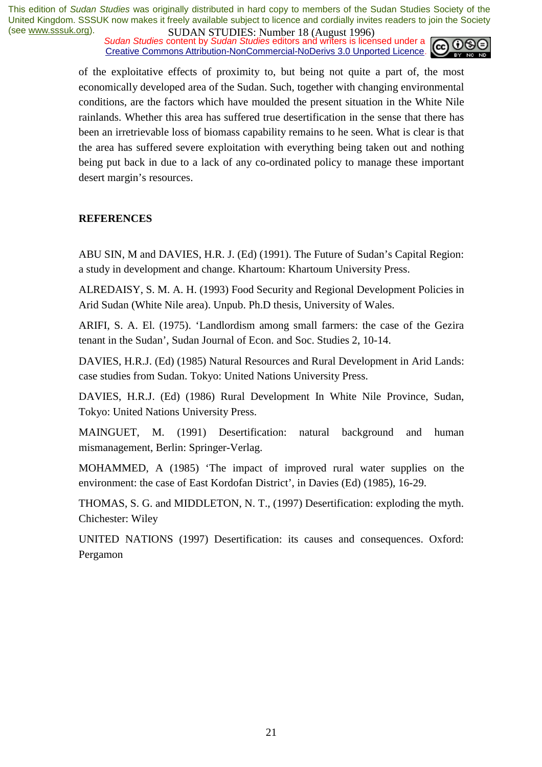**SUDAN STUDIES:** Number 10 (August 1220)<br>Sudan Studies content by Sudan Studies editors and writers is licensed under a Creative Commons Attribution-NonCommercial-NoDerivs 3.0 Unported Licence.



of the exploitative effects of proximity to, but being not quite a part of, the most economically developed area of the Sudan. Such, together with changing environmental conditions, are the factors which have moulded the present situation in the White Nile rainlands. Whether this area has suffered true desertification in the sense that there has been an irretrievable loss of biomass capability remains to he seen. What is clear is that the area has suffered severe exploitation with everything being taken out and nothing being put back in due to a lack of any co-ordinated policy to manage these important desert margin's resources.

#### **REFERENCES**

ABU SIN, M and DAVIES, H.R. J. (Ed) (1991). The Future of Sudan's Capital Region: a study in development and change. Khartoum: Khartoum University Press.

ALREDAISY, S. M. A. H. (1993) Food Security and Regional Development Policies in Arid Sudan (White Nile area). Unpub. Ph.D thesis, University of Wales.

ARIFI, S. A. El. (1975). 'Landlordism among small farmers: the case of the Gezira tenant in the Sudan', Sudan Journal of Econ. and Soc. Studies 2, 10-14.

DAVIES, H.R.J. (Ed) (1985) Natural Resources and Rural Development in Arid Lands: case studies from Sudan. Tokyo: United Nations University Press.

DAVIES, H.R.J. (Ed) (1986) Rural Development In White Nile Province, Sudan, Tokyo: United Nations University Press.

MAINGUET, M. (1991) Desertification: natural background and human mismanagement, Berlin: Springer-Verlag.

MOHAMMED, A (1985) 'The impact of improved rural water supplies on the environment: the case of East Kordofan District', in Davies (Ed) (1985), 16-29.

THOMAS, S. G. and MIDDLETON, N. T., (1997) Desertification: exploding the myth. Chichester: Wiley

UNITED NATIONS (1997) Desertification: its causes and consequences. Oxford: Pergamon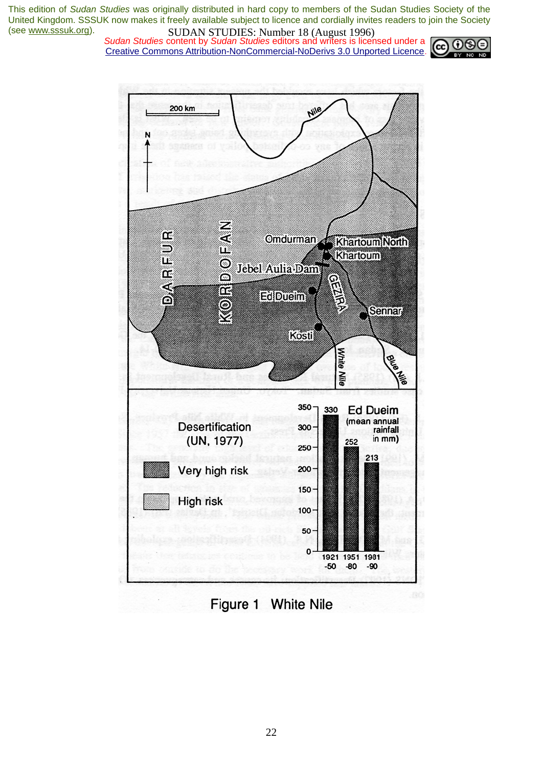*Sudan Studies* content by *Sudan Studies* editors and writers is licensed under a Creative Commons Attribution-NonCommercial-NoDerivs 3.0 Unported Licence.



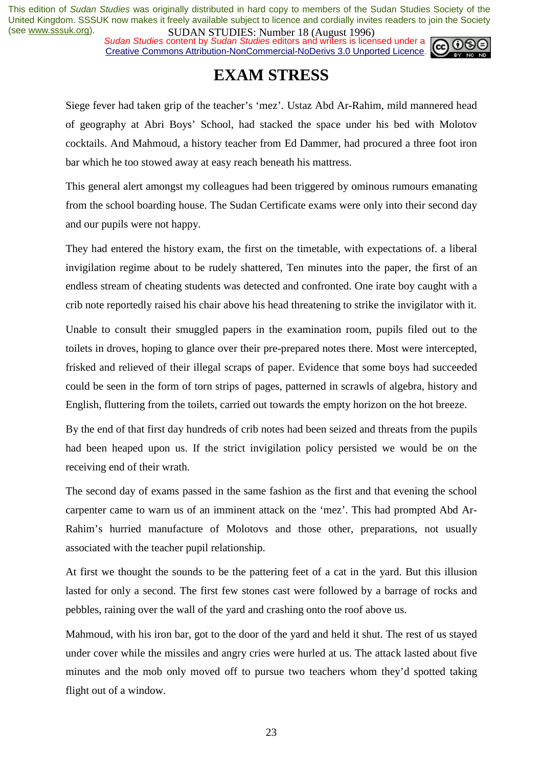**SUDAN STUDIES.** Number 10 (August 1220)<br>Sudan Studies content by Sudan Studies editors and writers is licensed under a Creative Commons Attribution-NonCommercial-NoDerivs 3.0 Unported Licence.



## **EXAM STRESS**

Siege fever had taken grip of the teacher's 'mez'. Ustaz Abd Ar-Rahim, mild mannered head of geography at Abri Boys' School, had stacked the space under his bed with Molotov cocktails. And Mahmoud, a history teacher from Ed Dammer, had procured a three foot iron bar which he too stowed away at easy reach beneath his mattress.

This general alert amongst my colleagues had been triggered by ominous rumours emanating from the school boarding house. The Sudan Certificate exams were only into their second day and our pupils were not happy.

They had entered the history exam, the first on the timetable, with expectations of. a liberal invigilation regime about to be rudely shattered, Ten minutes into the paper, the first of an endless stream of cheating students was detected and confronted. One irate boy caught with a crib note reportedly raised his chair above his head threatening to strike the invigilator with it.

Unable to consult their smuggled papers in the examination room, pupils filed out to the toilets in droves, hoping to glance over their pre-prepared notes there. Most were intercepted, frisked and relieved of their illegal scraps of paper. Evidence that some boys had succeeded could be seen in the form of torn strips of pages, patterned in scrawls of algebra, history and English, fluttering from the toilets, carried out towards the empty horizon on the hot breeze.

By the end of that first day hundreds of crib notes had been seized and threats from the pupils had been heaped upon us. If the strict invigilation policy persisted we would be on the receiving end of their wrath.

The second day of exams passed in the same fashion as the first and that evening the school carpenter came to warn us of an imminent attack on the 'mez'. This had prompted Abd Ar-Rahim's hurried manufacture of Molotovs and those other, preparations, not usually associated with the teacher pupil relationship.

At first we thought the sounds to be the pattering feet of a cat in the yard. But this illusion lasted for only a second. The first few stones cast were followed by a barrage of rocks and pebbles, raining over the wall of the yard and crashing onto the roof above us.

Mahmoud, with his iron bar, got to the door of the yard and held it shut. The rest of us stayed under cover while the missiles and angry cries were hurled at us. The attack lasted about five minutes and the mob only moved off to pursue two teachers whom they'd spotted taking flight out of a window.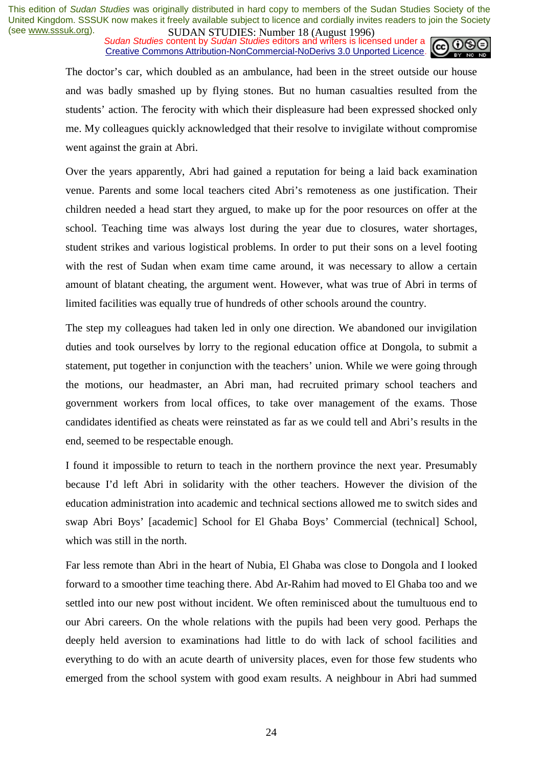**SUDAN STUDIES:** NUTTUBLE 10 (August 1220)<br>Sudan Studies content by Sudan Studies editors and writers is licensed under a Creative Commons Attribution-NonCommercial-NoDerivs 3.0 Unported Licence.



The doctor's car, which doubled as an ambulance, had been in the street outside our house and was badly smashed up by flying stones. But no human casualties resulted from the students' action. The ferocity with which their displeasure had been expressed shocked only me. My colleagues quickly acknowledged that their resolve to invigilate without compromise went against the grain at Abri.

Over the years apparently, Abri had gained a reputation for being a laid back examination venue. Parents and some local teachers cited Abri's remoteness as one justification. Their children needed a head start they argued, to make up for the poor resources on offer at the school. Teaching time was always lost during the year due to closures, water shortages, student strikes and various logistical problems. In order to put their sons on a level footing with the rest of Sudan when exam time came around, it was necessary to allow a certain amount of blatant cheating, the argument went. However, what was true of Abri in terms of limited facilities was equally true of hundreds of other schools around the country.

The step my colleagues had taken led in only one direction. We abandoned our invigilation duties and took ourselves by lorry to the regional education office at Dongola, to submit a statement, put together in conjunction with the teachers' union. While we were going through the motions, our headmaster, an Abri man, had recruited primary school teachers and government workers from local offices, to take over management of the exams. Those candidates identified as cheats were reinstated as far as we could tell and Abri's results in the end, seemed to be respectable enough.

I found it impossible to return to teach in the northern province the next year. Presumably because I'd left Abri in solidarity with the other teachers. However the division of the education administration into academic and technical sections allowed me to switch sides and swap Abri Boys' [academic] School for El Ghaba Boys' Commercial (technical] School, which was still in the north.

Far less remote than Abri in the heart of Nubia, El Ghaba was close to Dongola and I looked forward to a smoother time teaching there. Abd Ar-Rahim had moved to El Ghaba too and we settled into our new post without incident. We often reminisced about the tumultuous end to our Abri careers. On the whole relations with the pupils had been very good. Perhaps the deeply held aversion to examinations had little to do with lack of school facilities and everything to do with an acute dearth of university places, even for those few students who emerged from the school system with good exam results. A neighbour in Abri had summed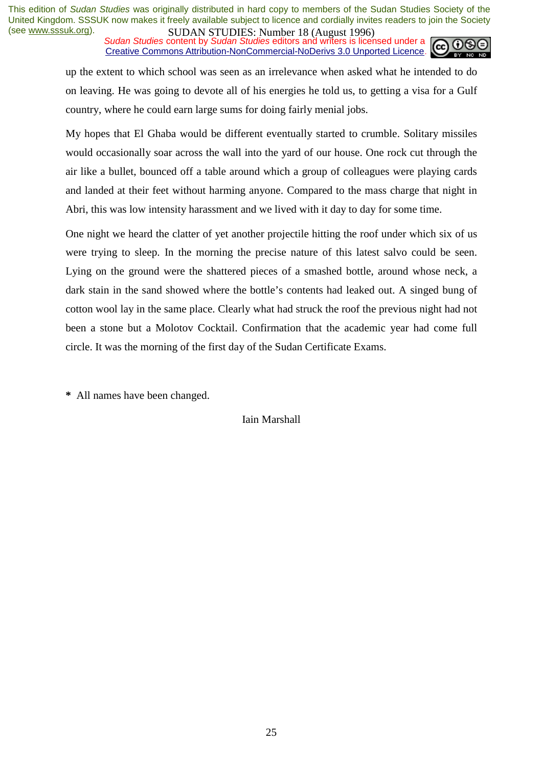**SUDAN STUDIES:** NUTTUBLE 10 (August 1220)<br>Sudan Studies content by Sudan Studies editors and writers is licensed under a Creative Commons Attribution-NonCommercial-NoDerivs 3.0 Unported Licence.



up the extent to which school was seen as an irrelevance when asked what he intended to do on leaving. He was going to devote all of his energies he told us, to getting a visa for a Gulf country, where he could earn large sums for doing fairly menial jobs.

My hopes that El Ghaba would be different eventually started to crumble. Solitary missiles would occasionally soar across the wall into the yard of our house. One rock cut through the air like a bullet, bounced off a table around which a group of colleagues were playing cards and landed at their feet without harming anyone. Compared to the mass charge that night in Abri, this was low intensity harassment and we lived with it day to day for some time.

One night we heard the clatter of yet another projectile hitting the roof under which six of us were trying to sleep. In the morning the precise nature of this latest salvo could be seen. Lying on the ground were the shattered pieces of a smashed bottle, around whose neck, a dark stain in the sand showed where the bottle's contents had leaked out. A singed bung of cotton wool lay in the same place. Clearly what had struck the roof the previous night had not been a stone but a Molotov Cocktail. Confirmation that the academic year had come full circle. It was the morning of the first day of the Sudan Certificate Exams.

**\*** All names have been changed.

Iain Marshall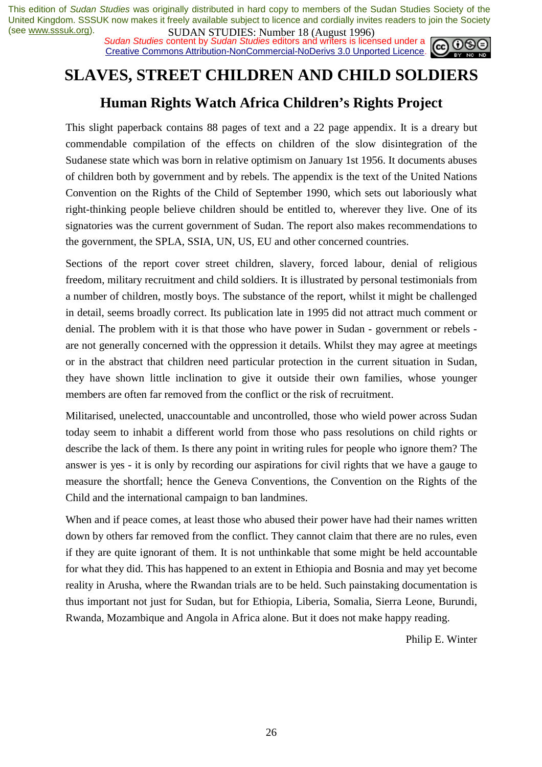**SUDAN STUDIES:** NUTTUBLE 10 (August 1770)<br>*Sudan Studies* content by *Sudan Studies* editors and writers is licensed under a **c c c c** Creative Commons Attribution-NonCommercial-NoDerivs 3.0 Unported Licence.



# **SLAVES, STREET CHILDREN AND CHILD SOLDIERS**

### **Human Rights Watch Africa Children's Rights Project**

This slight paperback contains 88 pages of text and a 22 page appendix. It is a dreary but commendable compilation of the effects on children of the slow disintegration of the Sudanese state which was born in relative optimism on January 1st 1956. It documents abuses of children both by government and by rebels. The appendix is the text of the United Nations Convention on the Rights of the Child of September 1990, which sets out laboriously what right-thinking people believe children should be entitled to, wherever they live. One of its signatories was the current government of Sudan. The report also makes recommendations to the government, the SPLA, SSIA, UN, US, EU and other concerned countries.

Sections of the report cover street children, slavery, forced labour, denial of religious freedom, military recruitment and child soldiers. It is illustrated by personal testimonials from a number of children, mostly boys. The substance of the report, whilst it might be challenged in detail, seems broadly correct. Its publication late in 1995 did not attract much comment or denial. The problem with it is that those who have power in Sudan - government or rebels are not generally concerned with the oppression it details. Whilst they may agree at meetings or in the abstract that children need particular protection in the current situation in Sudan, they have shown little inclination to give it outside their own families, whose younger members are often far removed from the conflict or the risk of recruitment.

Militarised, unelected, unaccountable and uncontrolled, those who wield power across Sudan today seem to inhabit a different world from those who pass resolutions on child rights or describe the lack of them. Is there any point in writing rules for people who ignore them? The answer is yes - it is only by recording our aspirations for civil rights that we have a gauge to measure the shortfall; hence the Geneva Conventions, the Convention on the Rights of the Child and the international campaign to ban landmines.

When and if peace comes, at least those who abused their power have had their names written down by others far removed from the conflict. They cannot claim that there are no rules, even if they are quite ignorant of them. It is not unthinkable that some might be held accountable for what they did. This has happened to an extent in Ethiopia and Bosnia and may yet become reality in Arusha, where the Rwandan trials are to be held. Such painstaking documentation is thus important not just for Sudan, but for Ethiopia, Liberia, Somalia, Sierra Leone, Burundi, Rwanda, Mozambique and Angola in Africa alone. But it does not make happy reading.

Philip E. Winter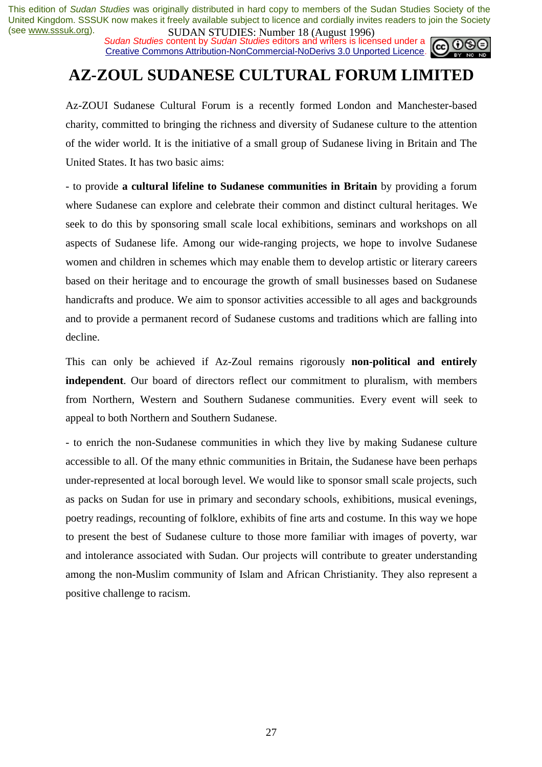**SUDAN STUDIES:** Number 10 (August 1770)<br>*Sudan Studies* content by *Sudan Studies* editors and writers is licensed under a Creative Commons Attribution-NonCommercial-NoDerivs 3.0 Unported Licence.



## **AZ-ZOUL SUDANESE CULTURAL FORUM LIMITED**

Az-ZOUI Sudanese Cultural Forum is a recently formed London and Manchester-based charity, committed to bringing the richness and diversity of Sudanese culture to the attention of the wider world. It is the initiative of a small group of Sudanese living in Britain and The United States. It has two basic aims:

- to provide **a cultural lifeline to Sudanese communities in Britain** by providing a forum where Sudanese can explore and celebrate their common and distinct cultural heritages. We seek to do this by sponsoring small scale local exhibitions, seminars and workshops on all aspects of Sudanese life. Among our wide-ranging projects, we hope to involve Sudanese women and children in schemes which may enable them to develop artistic or literary careers based on their heritage and to encourage the growth of small businesses based on Sudanese handicrafts and produce. We aim to sponsor activities accessible to all ages and backgrounds and to provide a permanent record of Sudanese customs and traditions which are falling into decline.

This can only be achieved if Az-Zoul remains rigorously **non-political and entirely independent**. Our board of directors reflect our commitment to pluralism, with members from Northern, Western and Southern Sudanese communities. Every event will seek to appeal to both Northern and Southern Sudanese.

- to enrich the non-Sudanese communities in which they live by making Sudanese culture accessible to all. Of the many ethnic communities in Britain, the Sudanese have been perhaps under-represented at local borough level. We would like to sponsor small scale projects, such as packs on Sudan for use in primary and secondary schools, exhibitions, musical evenings, poetry readings, recounting of folklore, exhibits of fine arts and costume. In this way we hope to present the best of Sudanese culture to those more familiar with images of poverty, war and intolerance associated with Sudan. Our projects will contribute to greater understanding among the non-Muslim community of Islam and African Christianity. They also represent a positive challenge to racism.